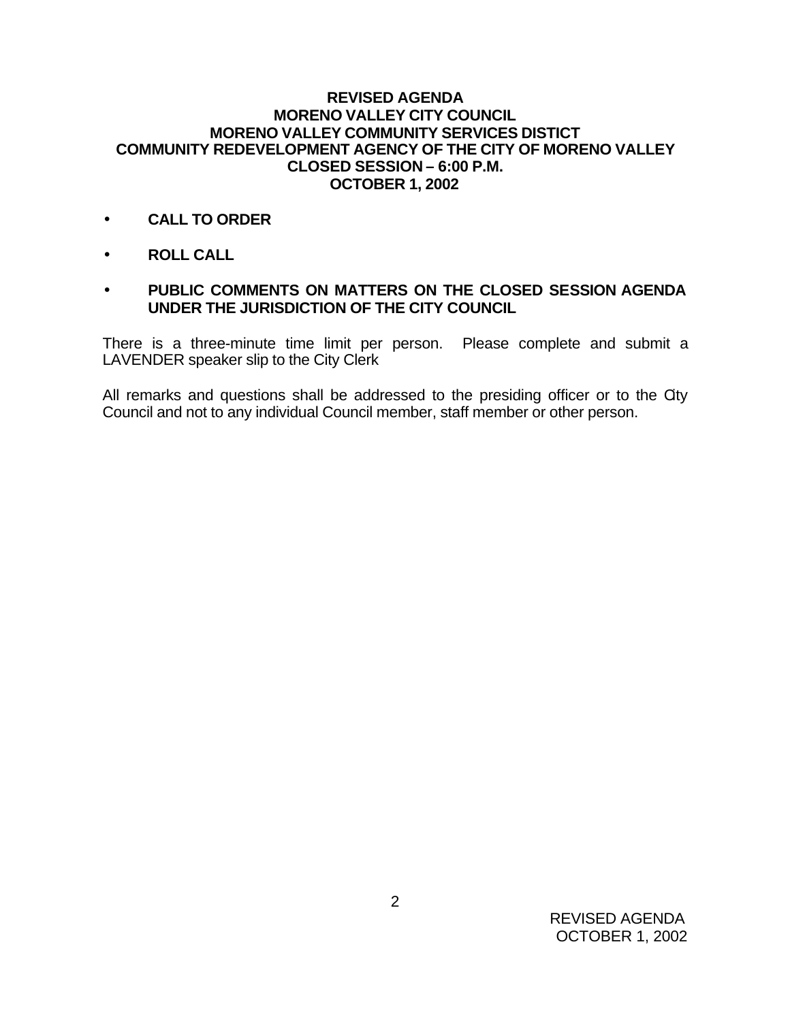## **REVISED AGENDA MORENO VALLEY CITY COUNCIL MORENO VALLEY COMMUNITY SERVICES DISTICT COMMUNITY REDEVELOPMENT AGENCY OF THE CITY OF MORENO VALLEY CLOSED SESSION – 6:00 P.M. OCTOBER 1, 2002**

- **CALL TO ORDER**
- **ROLL CALL**
- **PUBLIC COMMENTS ON MATTERS ON THE CLOSED SESSION AGENDA UNDER THE JURISDICTION OF THE CITY COUNCIL**

There is a three-minute time limit per person. Please complete and submit a LAVENDER speaker slip to the City Clerk

All remarks and questions shall be addressed to the presiding officer or to the City Council and not to any individual Council member, staff member or other person.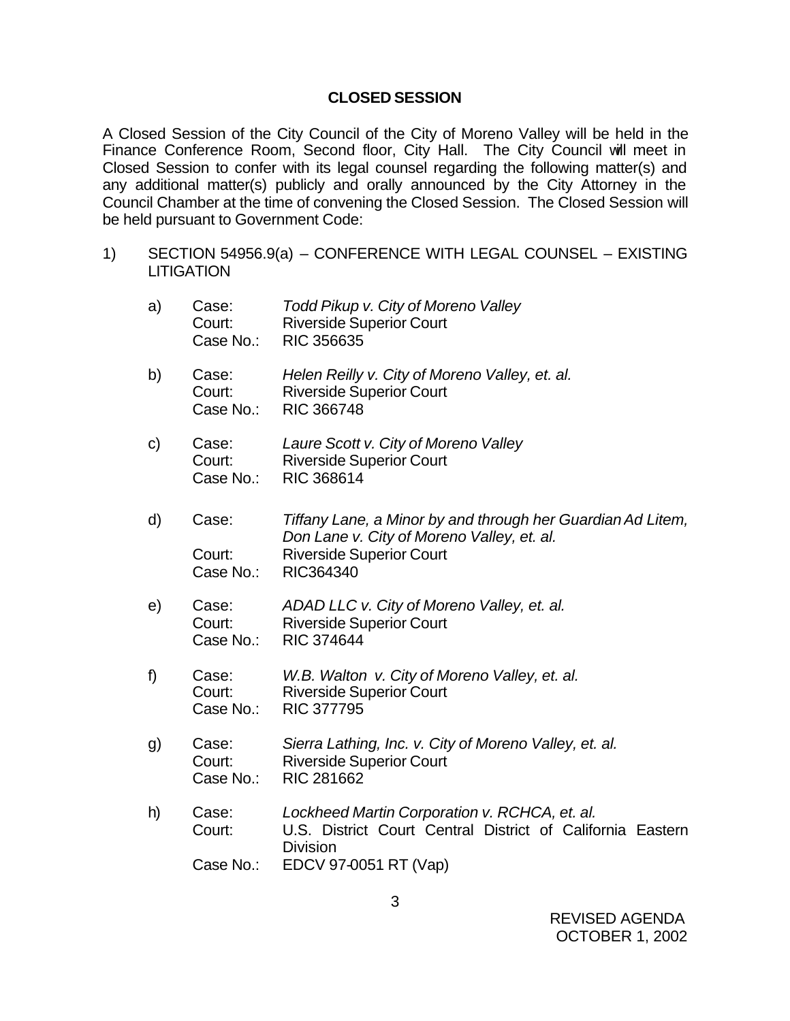## **CLOSED SESSION**

A Closed Session of the City Council of the City of Moreno Valley will be held in the Finance Conference Room, Second floor, City Hall. The City Council will meet in Closed Session to confer with its legal counsel regarding the following matter(s) and any additional matter(s) publicly and orally announced by the City Attorney in the Council Chamber at the time of convening the Closed Session. The Closed Session will be held pursuant to Government Code:

1) SECTION 54956.9(a) – CONFERENCE WITH LEGAL COUNSEL – EXISTING **LITIGATION** 

a) Case: *Todd Pikup v. City of Moreno Valley*

Court: Riverside Superior Court<br>Case No.: RIC 356635 RIC 356635 b) Case: *Helen Reilly v. City of Moreno Valley, et. al.* Court: Riverside Superior Court Case No.: RIC 366748 c) Case: *Laure Scott v. City of Moreno Valley* Court: Riverside Superior Court Case No.: RIC 368614 d) Case: *Tiffany Lane, a Minor by and through her Guardian Ad Litem, Don Lane v. City of Moreno Valley, et. al.* Court: Riverside Superior Court Case No.: RIC364340 e) Case: *ADAD LLC v. City of Moreno Valley, et. al.* Court: Riverside Superior Court Case No.: RIC 374644 f) Case: *W.B. Walton v. City of Moreno Valley, et. al.* Court: Riverside Superior Court Case No.: RIC 377795 g) Case: *Sierra Lathing, Inc. v. City of Moreno Valley, et. al.* Court: Riverside Superior Court Case No.: RIC 281662 h) Case: *Lockheed Martin Corporation v. RCHCA, et. al.* Court: U.S. District Court Central District of California Eastern **Division**